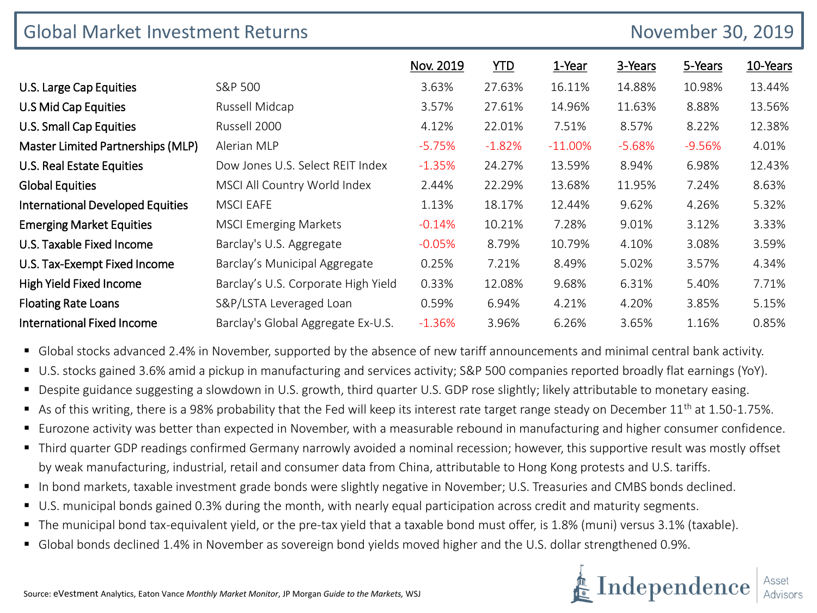| <b>Global Market Investment Returns</b> |                                     | November 30, 2019 |            |           |          |          |          |
|-----------------------------------------|-------------------------------------|-------------------|------------|-----------|----------|----------|----------|
|                                         |                                     | Nov. 2019         | <b>YTD</b> | 1-Year    | 3-Years  | 5-Years  | 10-Years |
| U.S. Large Cap Equities                 | S&P 500                             | 3.63%             | 27.63%     | 16.11%    | 14.88%   | 10.98%   | 13.44%   |
| U.S Mid Cap Equities                    | Russell Midcap                      | 3.57%             | 27.61%     | 14.96%    | 11.63%   | 8.88%    | 13.56%   |
| U.S. Small Cap Equities                 | Russell 2000                        | 4.12%             | 22.01%     | 7.51%     | 8.57%    | 8.22%    | 12.38%   |
| Master Limited Partnerships (MLP)       | Alerian MLP                         | $-5.75%$          | $-1.82%$   | $-11.00%$ | $-5.68%$ | $-9.56%$ | 4.01%    |
| U.S. Real Estate Equities               | Dow Jones U.S. Select REIT Index    | $-1.35%$          | 24.27%     | 13.59%    | 8.94%    | 6.98%    | 12.43%   |
| <b>Global Equities</b>                  | MSCI All Country World Index        | 2.44%             | 22.29%     | 13.68%    | 11.95%   | 7.24%    | 8.63%    |
| <b>International Developed Equities</b> | <b>MSCI EAFE</b>                    | 1.13%             | 18.17%     | 12.44%    | 9.62%    | 4.26%    | 5.32%    |
| <b>Emerging Market Equities</b>         | <b>MSCI Emerging Markets</b>        | $-0.14%$          | 10.21%     | 7.28%     | 9.01%    | 3.12%    | 3.33%    |
| U.S. Taxable Fixed Income               | Barclay's U.S. Aggregate            | $-0.05%$          | 8.79%      | 10.79%    | 4.10%    | 3.08%    | 3.59%    |
| U.S. Tax-Exempt Fixed Income            | Barclay's Municipal Aggregate       | 0.25%             | 7.21%      | 8.49%     | 5.02%    | 3.57%    | 4.34%    |
| High Yield Fixed Income                 | Barclay's U.S. Corporate High Yield | 0.33%             | 12.08%     | 9.68%     | 6.31%    | 5.40%    | 7.71%    |
| <b>Floating Rate Loans</b>              | S&P/LSTA Leveraged Loan             | 0.59%             | 6.94%      | 4.21%     | 4.20%    | 3.85%    | 5.15%    |
| <b>International Fixed Income</b>       | Barclay's Global Aggregate Ex-U.S.  | $-1.36%$          | 3.96%      | 6.26%     | 3.65%    | 1.16%    | 0.85%    |

- **•** Global stocks advanced 2.4% in November, supported by the absence of new tariff announcements and minimal central bank activity.
- U.S. stocks gained 3.6% amid a pickup in manufacturing and services activity; S&P 500 companies reported broadly flat earnings (YoY).
- Despite guidance suggesting a slowdown in U.S. growth, third quarter U.S. GDP rose slightly; likely attributable to monetary easing.
- As of this writing, there is a 98% probability that the Fed will keep its interest rate target range steady on December  $11<sup>th</sup>$  at 1.50-1.75%.
- Eurozone activity was better than expected in November, with a measurable rebound in manufacturing and higher consumer confidence.
- Third quarter GDP readings confirmed Germany narrowly avoided a nominal recession; however, this supportive result was mostly offset by weak manufacturing, industrial, retail and consumer data from China, attributable to Hong Kong protests and U.S. tariffs.
- In bond markets, taxable investment grade bonds were slightly negative in November; U.S. Treasuries and CMBS bonds declined.
- U.S. municipal bonds gained 0.3% during the month, with nearly equal participation across credit and maturity segments.
- The municipal bond tax-equivalent yield, or the pre-tax yield that a taxable bond must offer, is 1.8% (muni) versus 3.1% (taxable).
- Global bonds declined 1.4% in November as sovereign bond yields moved higher and the U.S. dollar strengthened 0.9%.

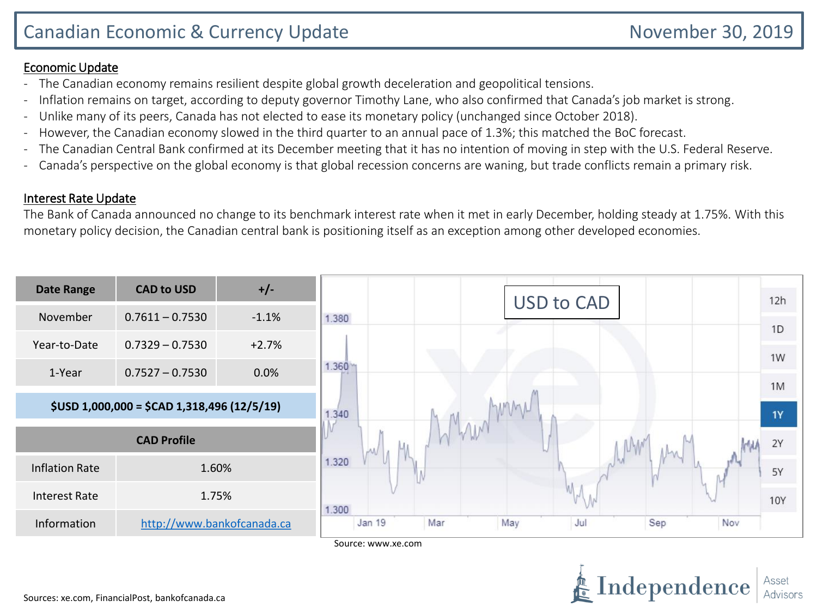Independence

## Economic Update

- The Canadian economy remains resilient despite global growth deceleration and geopolitical tensions.
- Inflation remains on target, according to deputy governor Timothy Lane, who also confirmed that Canada's job market is strong.
- Unlike many of its peers, Canada has not elected to ease its monetary policy (unchanged since October 2018).
- However, the Canadian economy slowed in the third quarter to an annual pace of 1.3%; this matched the BoC forecast.
- The Canadian Central Bank confirmed at its December meeting that it has no intention of moving in step with the U.S. Federal Reserve.
- Canada's perspective on the global economy is that global recession concerns are waning, but trade conflicts remain a primary risk.

## Interest Rate Update

The Bank of Canada announced no change to its benchmark interest rate when it met in early December, holding steady at 1.75%. With this monetary policy decision, the Canadian central bank is positioning itself as an exception among other developed economies.